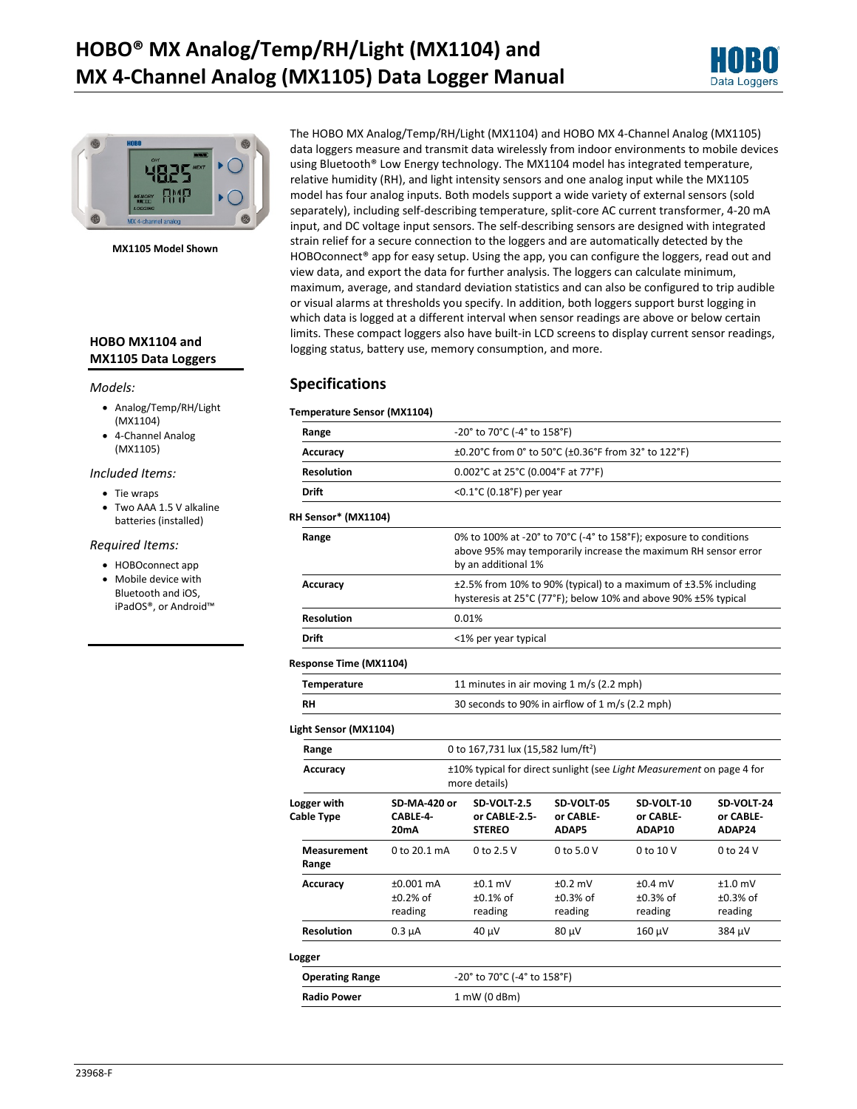



**MX1105 Model Shown**

### **HOBO MX1104 and MX1105 Data Loggers**

#### *Models:*

- Analog/Temp/RH/Light (MX1104)
- 4-Channel Analog (MX1105)

#### *Included Items:*

- Tie wraps
- Two AAA 1.5 V alkaline batteries (installed)

#### *Required Items:*

- HOBOconnect app • Mobile device with
- Bluetooth and iOS, iPadOS®, or Android™

The HOBO MX Analog/Temp/RH/Light (MX1104) and HOBO MX 4-Channel Analog (MX1105) data loggers measure and transmit data wirelessly from indoor environments to mobile devices using Bluetooth® Low Energy technology. The MX1104 model has integrated temperature, relative humidity (RH), and light intensity sensors and one analog input while the MX1105 model has four analog inputs. Both models support a wide variety of external sensors (sold separately), including self-describing temperature, split-core AC current transformer, 4-20 mA input, and DC voltage input sensors. The self-describing sensors are designed with integrated strain relief for a secure connection to the loggers and are automatically detected by the HOBOconnect<sup>®</sup> app for easy setup. Using the app, you can configure the loggers, read out and view data, and export the data for further analysis. The loggers can calculate minimum, maximum, average, and standard deviation statistics and can also be configured to trip audible or visual alarms at thresholds you specify. In addition, both loggers support burst logging in which data is logged at a different interval when sensor readings are above or below certain limits. These compact loggers also have built-in LCD screens to display current sensor readings, logging status, battery use, memory consumption, and more.

### **Specifications**

#### **Temperature Sensor (MX1104)**

| Range                     |                                                                                                                                                            | -20° to 70°C (-4° to 158°F)                    |                                  |                                    |                                    |
|---------------------------|------------------------------------------------------------------------------------------------------------------------------------------------------------|------------------------------------------------|----------------------------------|------------------------------------|------------------------------------|
| <b>Accuracy</b>           | ±0.20°C from 0° to 50°C (±0.36°F from 32° to 122°F)                                                                                                        |                                                |                                  |                                    |                                    |
| <b>Resolution</b>         | 0.002°C at 25°C (0.004°F at 77°F)                                                                                                                          |                                                |                                  |                                    |                                    |
| Drift                     | < $0.1^{\circ}$ C (0.18 $^{\circ}$ F) per year                                                                                                             |                                                |                                  |                                    |                                    |
| RH Sensor* (MX1104)       |                                                                                                                                                            |                                                |                                  |                                    |                                    |
| Range                     | 0% to 100% at -20° to 70°C (-4° to 158°F); exposure to conditions<br>above 95% may temporarily increase the maximum RH sensor error<br>by an additional 1% |                                                |                                  |                                    |                                    |
| <b>Accuracy</b>           | ±2.5% from 10% to 90% (typical) to a maximum of ±3.5% including<br>hysteresis at 25°C (77°F); below 10% and above 90% ±5% typical                          |                                                |                                  |                                    |                                    |
| <b>Resolution</b>         | 0.01%                                                                                                                                                      |                                                |                                  |                                    |                                    |
| Drift                     | <1% per year typical                                                                                                                                       |                                                |                                  |                                    |                                    |
| Response Time (MX1104)    |                                                                                                                                                            |                                                |                                  |                                    |                                    |
| <b>Temperature</b>        |                                                                                                                                                            | 11 minutes in air moving 1 m/s (2.2 mph)       |                                  |                                    |                                    |
| <b>RH</b>                 | 30 seconds to 90% in airflow of 1 m/s (2.2 mph)                                                                                                            |                                                |                                  |                                    |                                    |
| Light Sensor (MX1104)     |                                                                                                                                                            |                                                |                                  |                                    |                                    |
| Range                     |                                                                                                                                                            | 0 to 167,731 lux (15,582 lum/ft <sup>2</sup> ) |                                  |                                    |                                    |
| Accuracy                  | ±10% typical for direct sunlight (see Light Measurement on page 4 for<br>more details)                                                                     |                                                |                                  |                                    |                                    |
| Logger with<br>Cable Type | <b>SD-MA-420 or</b><br>CABLE-4-<br>20mA                                                                                                                    | SD-VOLT-2.5<br>or CABLE-2.5-<br><b>STEREO</b>  | SD-VOLT-05<br>or CABLE-<br>ADAP5 | SD-VOLT-10<br>or CABLE-<br>ADAP10  | SD-VOLT-24<br>or CABLE-<br>ADAP24  |
| Measurement<br>Range      | 0 to 20.1 mA                                                                                                                                               | 0 to 2.5 V                                     | 0 to 5.0 V                       | 0 to 10 V                          | 0 to 24 V                          |
| Accuracy                  | ±0.001 mA<br>$±0.2%$ of<br>reading                                                                                                                         | $±0.1$ mV<br>$±0.1\%$ of<br>reading            | $±0.2$ mV<br>±0.3% of<br>reading | $±0.4$ mV<br>$±0.3%$ of<br>reading | $±1.0$ mV<br>$±0.3%$ of<br>reading |
| <b>Resolution</b>         | $0.3 \mu A$                                                                                                                                                | 40 µV                                          | 80 µV                            | 160 µV                             | 384 µV                             |
| Logger                    |                                                                                                                                                            |                                                |                                  |                                    |                                    |
| <b>Operating Range</b>    |                                                                                                                                                            | -20° to 70°C (-4° to 158°F)                    |                                  |                                    |                                    |
| <b>Radio Power</b>        |                                                                                                                                                            | $1$ mW (0 dBm)                                 |                                  |                                    |                                    |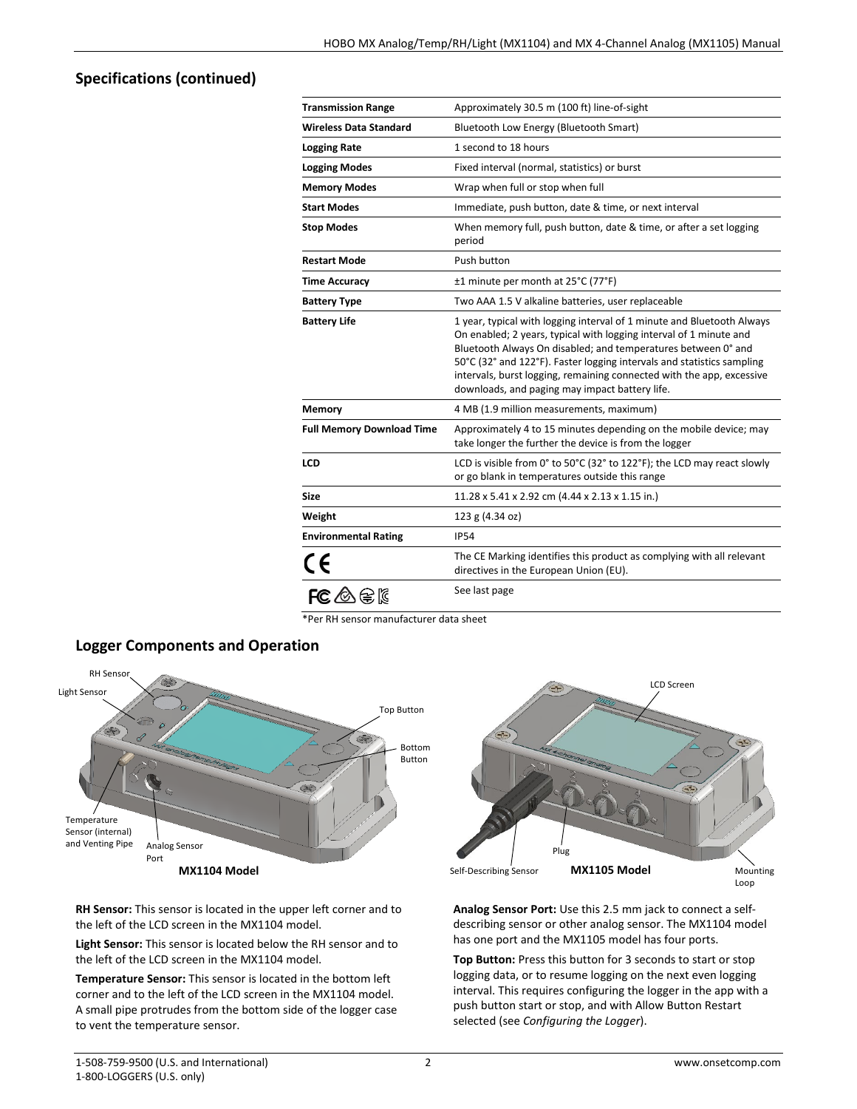## **Specifications (continued)**

| <b>Transmission Range</b>        | Approximately 30.5 m (100 ft) line-of-sight                                                                                                                                                                                                                                                                                                                                                                        |
|----------------------------------|--------------------------------------------------------------------------------------------------------------------------------------------------------------------------------------------------------------------------------------------------------------------------------------------------------------------------------------------------------------------------------------------------------------------|
| <b>Wireless Data Standard</b>    | Bluetooth Low Energy (Bluetooth Smart)                                                                                                                                                                                                                                                                                                                                                                             |
| <b>Logging Rate</b>              | 1 second to 18 hours                                                                                                                                                                                                                                                                                                                                                                                               |
| <b>Logging Modes</b>             | Fixed interval (normal, statistics) or burst                                                                                                                                                                                                                                                                                                                                                                       |
| <b>Memory Modes</b>              | Wrap when full or stop when full                                                                                                                                                                                                                                                                                                                                                                                   |
| <b>Start Modes</b>               | Immediate, push button, date & time, or next interval                                                                                                                                                                                                                                                                                                                                                              |
| <b>Stop Modes</b>                | When memory full, push button, date & time, or after a set logging<br>period                                                                                                                                                                                                                                                                                                                                       |
| <b>Restart Mode</b>              | Push button                                                                                                                                                                                                                                                                                                                                                                                                        |
| <b>Time Accuracy</b>             | ±1 minute per month at 25°C (77°F)                                                                                                                                                                                                                                                                                                                                                                                 |
| <b>Battery Type</b>              | Two AAA 1.5 V alkaline batteries, user replaceable                                                                                                                                                                                                                                                                                                                                                                 |
| <b>Battery Life</b>              | 1 year, typical with logging interval of 1 minute and Bluetooth Always<br>On enabled; 2 years, typical with logging interval of 1 minute and<br>Bluetooth Always On disabled; and temperatures between 0° and<br>50°C (32° and 122°F). Faster logging intervals and statistics sampling<br>intervals, burst logging, remaining connected with the app, excessive<br>downloads, and paging may impact battery life. |
| Memory                           | 4 MB (1.9 million measurements, maximum)                                                                                                                                                                                                                                                                                                                                                                           |
| <b>Full Memory Download Time</b> | Approximately 4 to 15 minutes depending on the mobile device; may<br>take longer the further the device is from the logger                                                                                                                                                                                                                                                                                         |
| <b>LCD</b>                       | LCD is visible from 0° to 50°C (32° to 122°F); the LCD may react slowly<br>or go blank in temperatures outside this range                                                                                                                                                                                                                                                                                          |
| Size                             | 11.28 x 5.41 x 2.92 cm (4.44 x 2.13 x 1.15 in.)                                                                                                                                                                                                                                                                                                                                                                    |
| Weight                           | 123 g (4.34 oz)                                                                                                                                                                                                                                                                                                                                                                                                    |
| <b>Environmental Rating</b>      | <b>IP54</b>                                                                                                                                                                                                                                                                                                                                                                                                        |
| CE                               | The CE Marking identifies this product as complying with all relevant<br>directives in the European Union (EU).                                                                                                                                                                                                                                                                                                    |
| $FC \otimes \otimes \mathbb{R}$  | See last page                                                                                                                                                                                                                                                                                                                                                                                                      |

\*Per RH sensor manufacturer data sheet



### **Logger Components and Operation**

**RH Sensor:** This sensor is located in the upper left corner and to the left of the LCD screen in the MX1104 model.

**Light Sensor:** This sensor is located below the RH sensor and to the left of the LCD screen in the MX1104 model.

**Temperature Sensor:** This sensor is located in the bottom left corner and to the left of the LCD screen in the MX1104 model. A small pipe protrudes from the bottom side of the logger case to vent the temperature sensor.



**Analog Sensor Port:** Use this 2.5 mm jack to connect a selfdescribing sensor or other analog sensor. The MX1104 model has one port and the MX1105 model has four ports.

**Top Button:** Press this button for 3 seconds to start or stop logging data, or to resume logging on the next even logging interval. This requires configuring the logger in the app with a push button start or stop, and with Allow Button Restart selected (see *Configuring the Logger*).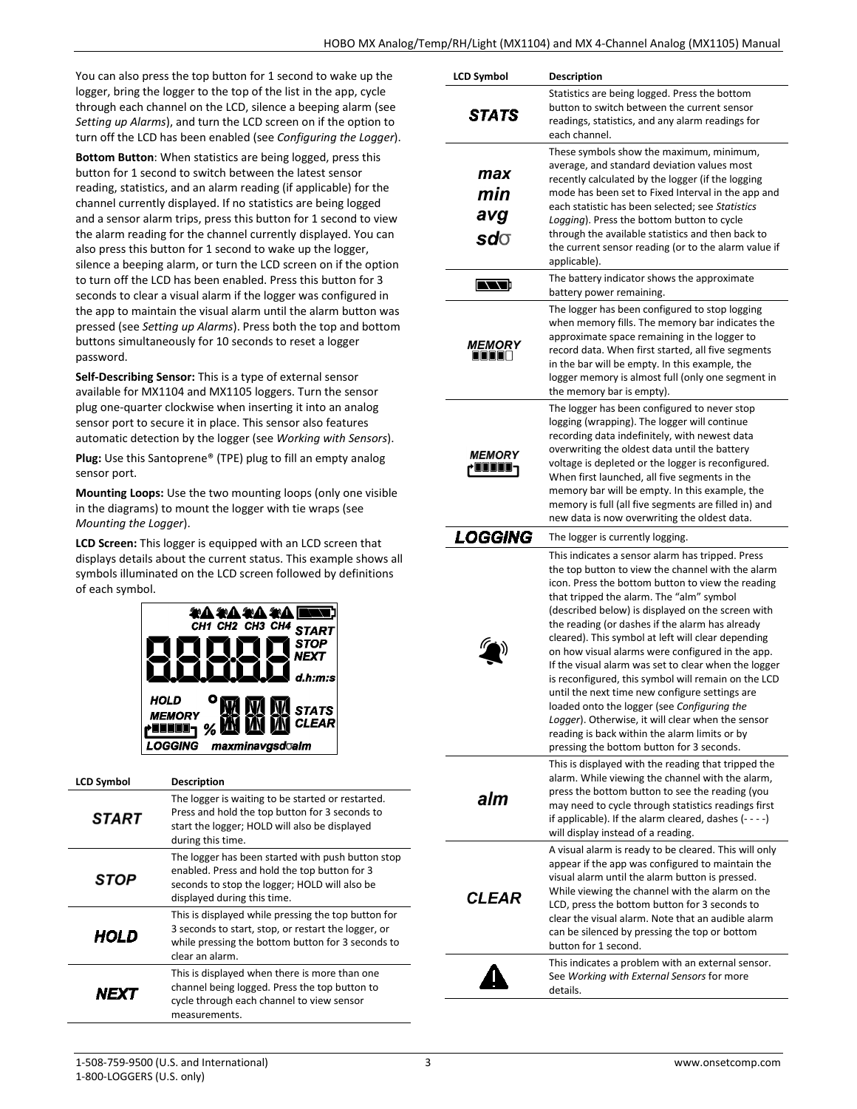You can also press the top button for 1 second to wake up the logger, bring the logger to the top of the list in the app, cycle through each channel on the LCD, silence a beeping alarm (see *Setting up Alarms*), and turn the LCD screen on if the option to turn off the LCD has been enabled (see *Configuring the Logger*).

**Bottom Button**: When statistics are being logged, press this button for 1 second to switch between the latest sensor reading, statistics, and an alarm reading (if applicable) for the channel currently displayed. If no statistics are being logged and a sensor alarm trips, press this button for 1 second to view the alarm reading for the channel currently displayed. You can also press this button for 1 second to wake up the logger, silence a beeping alarm, or turn the LCD screen on if the option to turn off the LCD has been enabled. Press this button for 3 seconds to clear a visual alarm if the logger was configured in the app to maintain the visual alarm until the alarm button was pressed (see *Setting up Alarms*). Press both the top and bottom buttons simultaneously for 10 seconds to reset a logger password.

**Self-Describing Sensor:** This is a type of external sensor available for MX1104 and MX1105 loggers. Turn the sensor plug one-quarter clockwise when inserting it into an analog sensor port to secure it in place. This sensor also features automatic detection by the logger (see *Working with Sensors*).

**Plug:** Use this Santoprene® (TPE) plug to fill an empty analog sensor port.

**Mounting Loops:** Use the two mounting loops (only one visible in the diagrams) to mount the logger with tie wraps (see *Mounting the Logger*).

**LCD Screen:** This logger is equipped with an LCD screen that displays details about the current status. This example shows all symbols illuminated on the LCD screen followed by definitions of each symbol.



| <b>LCD Symbol</b> | <b>Description</b>                                                                                                                                                                 |
|-------------------|------------------------------------------------------------------------------------------------------------------------------------------------------------------------------------|
| <b>START</b>      | The logger is waiting to be started or restarted.<br>Press and hold the top button for 3 seconds to<br>start the logger; HOLD will also be displayed<br>during this time.          |
| STOP              | The logger has been started with push button stop<br>enabled. Press and hold the top button for 3<br>seconds to stop the logger; HOLD will also be<br>displayed during this time.  |
| HOLD              | This is displayed while pressing the top button for<br>3 seconds to start, stop, or restart the logger, or<br>while pressing the bottom button for 3 seconds to<br>clear an alarm. |
| NFY               | This is displayed when there is more than one<br>channel being logged. Press the top button to<br>cycle through each channel to view sensor<br>measurements.                       |

| Statistics are being logged. Press the bottom<br>button to switch between the current sensor<br><i><b>STATS</b></i><br>readings, statistics, and any alarm readings for<br>each channel.<br>These symbols show the maximum, minimum,<br>average, and standard deviation values most<br>max<br>recently calculated by the logger (if the logging<br>min<br>mode has been set to Fixed Interval in the app and<br>each statistic has been selected; see Statistics<br>avg<br>Logging). Press the bottom button to cycle<br>through the available statistics and then back to<br>sdo<br>the current sensor reading (or to the alarm value if<br>applicable).<br>The battery indicator shows the approximate<br><b>NATION</b><br>battery power remaining.<br>The logger has been configured to stop logging<br>when memory fills. The memory bar indicates the<br>approximate space remaining in the logger to<br><i><b>MEMORY</b></i><br>record data. When first started, all five segments<br>$\blacksquare$ $\blacksquare$ $\blacksquare$<br>in the bar will be empty. In this example, the<br>logger memory is almost full (only one segment in<br>the memory bar is empty).<br>The logger has been configured to never stop<br>logging (wrapping). The logger will continue<br>recording data indefinitely, with newest data<br>overwriting the oldest data until the battery<br><i><b>MEMORY</b></i><br>voltage is depleted or the logger is reconfigured.<br>} UUUUU '<br>When first launched, all five segments in the<br>memory bar will be empty. In this example, the<br>memory is full (all five segments are filled in) and<br>new data is now overwriting the oldest data.<br><b>LOGGING</b><br>The logger is currently logging.<br>This indicates a sensor alarm has tripped. Press<br>the top button to view the channel with the alarm<br>icon. Press the bottom button to view the reading<br>that tripped the alarm. The "alm" symbol<br>(described below) is displayed on the screen with<br>the reading (or dashes if the alarm has already<br>cleared). This symbol at left will clear depending<br>on how visual alarms were configured in the app.<br>If the visual alarm was set to clear when the logger<br>is reconfigured, this symbol will remain on the LCD<br>until the next time new configure settings are<br>loaded onto the logger (see Configuring the<br>Logger). Otherwise, it will clear when the sensor<br>reading is back within the alarm limits or by<br>pressing the bottom button for 3 seconds.<br>This is displayed with the reading that tripped the<br>alarm. While viewing the channel with the alarm,<br>press the bottom button to see the reading (you<br>alm<br>may need to cycle through statistics readings first<br>if applicable). If the alarm cleared, dashes $(- - -)$<br>will display instead of a reading.<br>A visual alarm is ready to be cleared. This will only<br>appear if the app was configured to maintain the<br>visual alarm until the alarm button is pressed.<br>While viewing the channel with the alarm on the<br><b>CLEAR</b><br>LCD, press the bottom button for 3 seconds to<br>clear the visual alarm. Note that an audible alarm<br>can be silenced by pressing the top or bottom<br>button for 1 second.<br>This indicates a problem with an external sensor.<br>See Working with External Sensors for more<br>details. | <b>LCD Symbol</b> | <b>Description</b> |
|---------------------------------------------------------------------------------------------------------------------------------------------------------------------------------------------------------------------------------------------------------------------------------------------------------------------------------------------------------------------------------------------------------------------------------------------------------------------------------------------------------------------------------------------------------------------------------------------------------------------------------------------------------------------------------------------------------------------------------------------------------------------------------------------------------------------------------------------------------------------------------------------------------------------------------------------------------------------------------------------------------------------------------------------------------------------------------------------------------------------------------------------------------------------------------------------------------------------------------------------------------------------------------------------------------------------------------------------------------------------------------------------------------------------------------------------------------------------------------------------------------------------------------------------------------------------------------------------------------------------------------------------------------------------------------------------------------------------------------------------------------------------------------------------------------------------------------------------------------------------------------------------------------------------------------------------------------------------------------------------------------------------------------------------------------------------------------------------------------------------------------------------------------------------------------------------------------------------------------------------------------------------------------------------------------------------------------------------------------------------------------------------------------------------------------------------------------------------------------------------------------------------------------------------------------------------------------------------------------------------------------------------------------------------------------------------------------------------------------------------------------------------------------------------------------------------------------------------------------------------------------------------------------------------------------------------------------------------------------------------------------------------------------------------------------------------------------------------------------------------------------------------------------------------------------------------------------------------------------------------------------------------------------------------------------------------------------------------------------------------------------------------------------|-------------------|--------------------|
|                                                                                                                                                                                                                                                                                                                                                                                                                                                                                                                                                                                                                                                                                                                                                                                                                                                                                                                                                                                                                                                                                                                                                                                                                                                                                                                                                                                                                                                                                                                                                                                                                                                                                                                                                                                                                                                                                                                                                                                                                                                                                                                                                                                                                                                                                                                                                                                                                                                                                                                                                                                                                                                                                                                                                                                                                                                                                                                                                                                                                                                                                                                                                                                                                                                                                                                                                                                                         |                   |                    |
|                                                                                                                                                                                                                                                                                                                                                                                                                                                                                                                                                                                                                                                                                                                                                                                                                                                                                                                                                                                                                                                                                                                                                                                                                                                                                                                                                                                                                                                                                                                                                                                                                                                                                                                                                                                                                                                                                                                                                                                                                                                                                                                                                                                                                                                                                                                                                                                                                                                                                                                                                                                                                                                                                                                                                                                                                                                                                                                                                                                                                                                                                                                                                                                                                                                                                                                                                                                                         |                   |                    |
|                                                                                                                                                                                                                                                                                                                                                                                                                                                                                                                                                                                                                                                                                                                                                                                                                                                                                                                                                                                                                                                                                                                                                                                                                                                                                                                                                                                                                                                                                                                                                                                                                                                                                                                                                                                                                                                                                                                                                                                                                                                                                                                                                                                                                                                                                                                                                                                                                                                                                                                                                                                                                                                                                                                                                                                                                                                                                                                                                                                                                                                                                                                                                                                                                                                                                                                                                                                                         |                   |                    |
|                                                                                                                                                                                                                                                                                                                                                                                                                                                                                                                                                                                                                                                                                                                                                                                                                                                                                                                                                                                                                                                                                                                                                                                                                                                                                                                                                                                                                                                                                                                                                                                                                                                                                                                                                                                                                                                                                                                                                                                                                                                                                                                                                                                                                                                                                                                                                                                                                                                                                                                                                                                                                                                                                                                                                                                                                                                                                                                                                                                                                                                                                                                                                                                                                                                                                                                                                                                                         |                   |                    |
|                                                                                                                                                                                                                                                                                                                                                                                                                                                                                                                                                                                                                                                                                                                                                                                                                                                                                                                                                                                                                                                                                                                                                                                                                                                                                                                                                                                                                                                                                                                                                                                                                                                                                                                                                                                                                                                                                                                                                                                                                                                                                                                                                                                                                                                                                                                                                                                                                                                                                                                                                                                                                                                                                                                                                                                                                                                                                                                                                                                                                                                                                                                                                                                                                                                                                                                                                                                                         |                   |                    |
|                                                                                                                                                                                                                                                                                                                                                                                                                                                                                                                                                                                                                                                                                                                                                                                                                                                                                                                                                                                                                                                                                                                                                                                                                                                                                                                                                                                                                                                                                                                                                                                                                                                                                                                                                                                                                                                                                                                                                                                                                                                                                                                                                                                                                                                                                                                                                                                                                                                                                                                                                                                                                                                                                                                                                                                                                                                                                                                                                                                                                                                                                                                                                                                                                                                                                                                                                                                                         |                   |                    |
|                                                                                                                                                                                                                                                                                                                                                                                                                                                                                                                                                                                                                                                                                                                                                                                                                                                                                                                                                                                                                                                                                                                                                                                                                                                                                                                                                                                                                                                                                                                                                                                                                                                                                                                                                                                                                                                                                                                                                                                                                                                                                                                                                                                                                                                                                                                                                                                                                                                                                                                                                                                                                                                                                                                                                                                                                                                                                                                                                                                                                                                                                                                                                                                                                                                                                                                                                                                                         |                   |                    |
|                                                                                                                                                                                                                                                                                                                                                                                                                                                                                                                                                                                                                                                                                                                                                                                                                                                                                                                                                                                                                                                                                                                                                                                                                                                                                                                                                                                                                                                                                                                                                                                                                                                                                                                                                                                                                                                                                                                                                                                                                                                                                                                                                                                                                                                                                                                                                                                                                                                                                                                                                                                                                                                                                                                                                                                                                                                                                                                                                                                                                                                                                                                                                                                                                                                                                                                                                                                                         |                   |                    |
|                                                                                                                                                                                                                                                                                                                                                                                                                                                                                                                                                                                                                                                                                                                                                                                                                                                                                                                                                                                                                                                                                                                                                                                                                                                                                                                                                                                                                                                                                                                                                                                                                                                                                                                                                                                                                                                                                                                                                                                                                                                                                                                                                                                                                                                                                                                                                                                                                                                                                                                                                                                                                                                                                                                                                                                                                                                                                                                                                                                                                                                                                                                                                                                                                                                                                                                                                                                                         |                   |                    |
|                                                                                                                                                                                                                                                                                                                                                                                                                                                                                                                                                                                                                                                                                                                                                                                                                                                                                                                                                                                                                                                                                                                                                                                                                                                                                                                                                                                                                                                                                                                                                                                                                                                                                                                                                                                                                                                                                                                                                                                                                                                                                                                                                                                                                                                                                                                                                                                                                                                                                                                                                                                                                                                                                                                                                                                                                                                                                                                                                                                                                                                                                                                                                                                                                                                                                                                                                                                                         |                   |                    |
|                                                                                                                                                                                                                                                                                                                                                                                                                                                                                                                                                                                                                                                                                                                                                                                                                                                                                                                                                                                                                                                                                                                                                                                                                                                                                                                                                                                                                                                                                                                                                                                                                                                                                                                                                                                                                                                                                                                                                                                                                                                                                                                                                                                                                                                                                                                                                                                                                                                                                                                                                                                                                                                                                                                                                                                                                                                                                                                                                                                                                                                                                                                                                                                                                                                                                                                                                                                                         |                   |                    |
|                                                                                                                                                                                                                                                                                                                                                                                                                                                                                                                                                                                                                                                                                                                                                                                                                                                                                                                                                                                                                                                                                                                                                                                                                                                                                                                                                                                                                                                                                                                                                                                                                                                                                                                                                                                                                                                                                                                                                                                                                                                                                                                                                                                                                                                                                                                                                                                                                                                                                                                                                                                                                                                                                                                                                                                                                                                                                                                                                                                                                                                                                                                                                                                                                                                                                                                                                                                                         |                   |                    |
|                                                                                                                                                                                                                                                                                                                                                                                                                                                                                                                                                                                                                                                                                                                                                                                                                                                                                                                                                                                                                                                                                                                                                                                                                                                                                                                                                                                                                                                                                                                                                                                                                                                                                                                                                                                                                                                                                                                                                                                                                                                                                                                                                                                                                                                                                                                                                                                                                                                                                                                                                                                                                                                                                                                                                                                                                                                                                                                                                                                                                                                                                                                                                                                                                                                                                                                                                                                                         |                   |                    |
|                                                                                                                                                                                                                                                                                                                                                                                                                                                                                                                                                                                                                                                                                                                                                                                                                                                                                                                                                                                                                                                                                                                                                                                                                                                                                                                                                                                                                                                                                                                                                                                                                                                                                                                                                                                                                                                                                                                                                                                                                                                                                                                                                                                                                                                                                                                                                                                                                                                                                                                                                                                                                                                                                                                                                                                                                                                                                                                                                                                                                                                                                                                                                                                                                                                                                                                                                                                                         |                   |                    |
|                                                                                                                                                                                                                                                                                                                                                                                                                                                                                                                                                                                                                                                                                                                                                                                                                                                                                                                                                                                                                                                                                                                                                                                                                                                                                                                                                                                                                                                                                                                                                                                                                                                                                                                                                                                                                                                                                                                                                                                                                                                                                                                                                                                                                                                                                                                                                                                                                                                                                                                                                                                                                                                                                                                                                                                                                                                                                                                                                                                                                                                                                                                                                                                                                                                                                                                                                                                                         |                   |                    |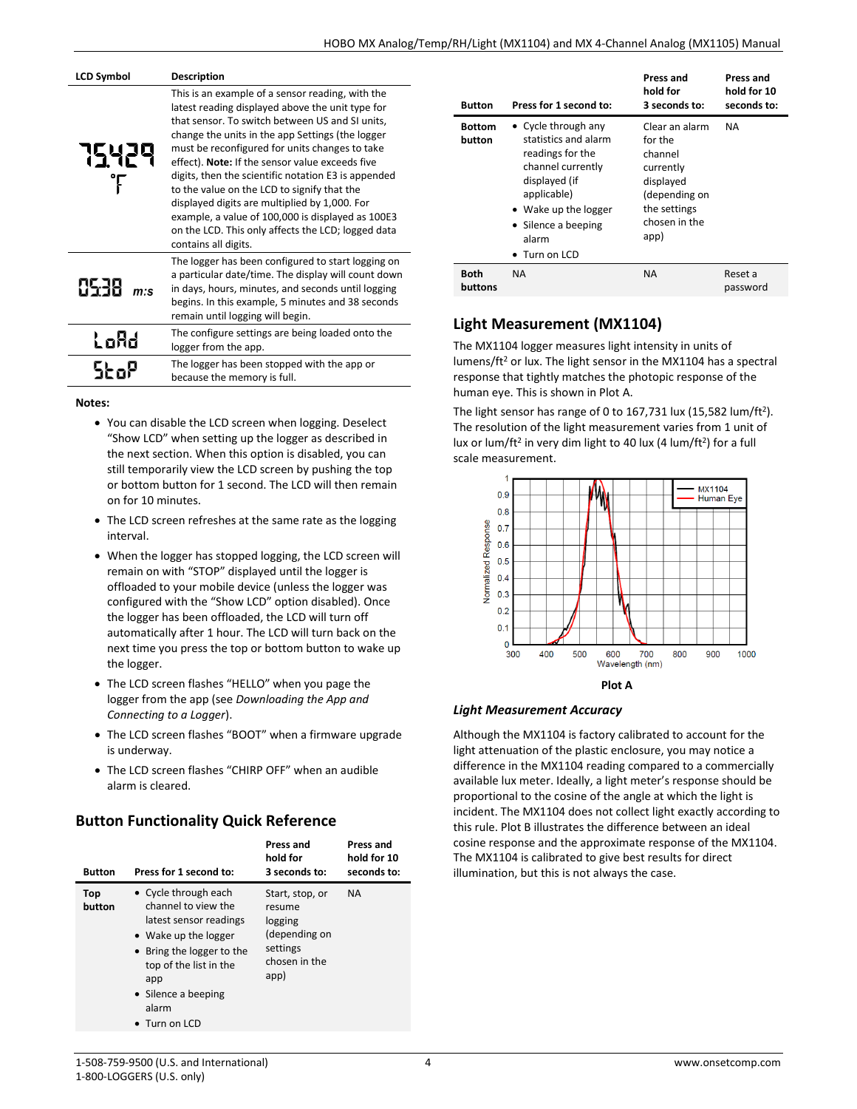| <b>LCD Symbol</b> | <b>Description</b>                                                                                                                                                                                                                                                                                                                                                                                                                                                                                                                                                                                         |
|-------------------|------------------------------------------------------------------------------------------------------------------------------------------------------------------------------------------------------------------------------------------------------------------------------------------------------------------------------------------------------------------------------------------------------------------------------------------------------------------------------------------------------------------------------------------------------------------------------------------------------------|
| 15429             | This is an example of a sensor reading, with the<br>latest reading displayed above the unit type for<br>that sensor. To switch between US and SI units,<br>change the units in the app Settings (the logger<br>must be reconfigured for units changes to take<br>effect). Note: If the sensor value exceeds five<br>digits, then the scientific notation E3 is appended<br>to the value on the LCD to signify that the<br>displayed digits are multiplied by 1,000. For<br>example, a value of 100,000 is displayed as 100E3<br>on the LCD. This only affects the LCD; logged data<br>contains all digits. |
| 8538<br>m:s       | The logger has been configured to start logging on<br>a particular date/time. The display will count down<br>in days, hours, minutes, and seconds until logging<br>begins. In this example, 5 minutes and 38 seconds<br>remain until logging will begin.                                                                                                                                                                                                                                                                                                                                                   |
| LoRd              | The configure settings are being loaded onto the<br>logger from the app.                                                                                                                                                                                                                                                                                                                                                                                                                                                                                                                                   |
|                   | The logger has been stopped with the app or<br>because the memory is full.                                                                                                                                                                                                                                                                                                                                                                                                                                                                                                                                 |

**Notes:**

- You can disable the LCD screen when logging. Deselect "Show LCD" when setting up the logger as described in the next section. When this option is disabled, you can still temporarily view the LCD screen by pushing the top or bottom button for 1 second. The LCD will then remain on for 10 minutes.
- The LCD screen refreshes at the same rate as the logging interval.
- When the logger has stopped logging, the LCD screen will remain on with "STOP" displayed until the logger is offloaded to your mobile device (unless the logger was configured with the "Show LCD" option disabled). Once the logger has been offloaded, the LCD will turn off automatically after 1 hour. The LCD will turn back on the next time you press the top or bottom button to wake up the logger.
- The LCD screen flashes "HELLO" when you page the logger from the app (see *Downloading the App and Connecting to a Logger*).
- The LCD screen flashes "BOOT" when a firmware upgrade is underway.
- The LCD screen flashes "CHIRP OFF" when an audible alarm is cleared.

# **Button Functionality Quick Reference**

| <b>Button</b> | Press for 1 second to:                                                                                                                                                                                               | Press and<br>hold for<br>3 seconds to:                                                     | Press and<br>hold for 10<br>seconds to: |
|---------------|----------------------------------------------------------------------------------------------------------------------------------------------------------------------------------------------------------------------|--------------------------------------------------------------------------------------------|-----------------------------------------|
| Top<br>button | • Cycle through each<br>channel to view the<br>latest sensor readings<br>• Wake up the logger<br>• Bring the logger to the<br>top of the list in the<br>app<br>• Silence a beeping<br>alarm<br>$\bullet$ Turn on LCD | Start, stop, or<br>resume<br>logging<br>(depending on<br>settings<br>chosen in the<br>app) | <b>NA</b>                               |

| <b>Button</b>           | Press for 1 second to:                                                                                                                                                                                | Press and<br>hold for<br>3 seconds to:                                                                                   | Press and<br>hold for 10<br>seconds to: |
|-------------------------|-------------------------------------------------------------------------------------------------------------------------------------------------------------------------------------------------------|--------------------------------------------------------------------------------------------------------------------------|-----------------------------------------|
| <b>Bottom</b><br>button | • Cycle through any<br>statistics and alarm<br>readings for the<br>channel currently<br>displayed (if<br>applicable)<br>• Wake up the logger<br>• Silence a beeping<br>alarm<br>$\bullet$ Turn on LCD | Clear an alarm<br>for the<br>channel<br>currently<br>displayed<br>(depending on<br>the settings<br>chosen in the<br>app) | <b>NA</b>                               |
| <b>Both</b><br>buttons  | <b>NA</b>                                                                                                                                                                                             | <b>NA</b>                                                                                                                | Reset a<br>password                     |

# **Light Measurement (MX1104)**

The MX1104 logger measures light intensity in units of lumens/ft<sup>2</sup> or lux. The light sensor in the MX1104 has a spectral response that tightly matches the photopic response of the human eye. This is shown in Plot A.

The light sensor has range of 0 to 167,731 lux (15,582 lum/ft<sup>2</sup>). The resolution of the light measurement varies from 1 unit of lux or lum/ft<sup>2</sup> in very dim light to 40 lux (4 lum/ft<sup>2</sup>) for a full scale measurement.



### *Light Measurement Accuracy*

Although the MX1104 is factory calibrated to account for the light attenuation of the plastic enclosure, you may notice a difference in the MX1104 reading compared to a commercially available lux meter. Ideally, a light meter's response should be proportional to the cosine of the angle at which the light is incident. The MX1104 does not collect light exactly according to this rule. Plot B illustrates the difference between an ideal cosine response and the approximate response of the MX1104. The MX1104 is calibrated to give best results for direct illumination, but this is not always the case.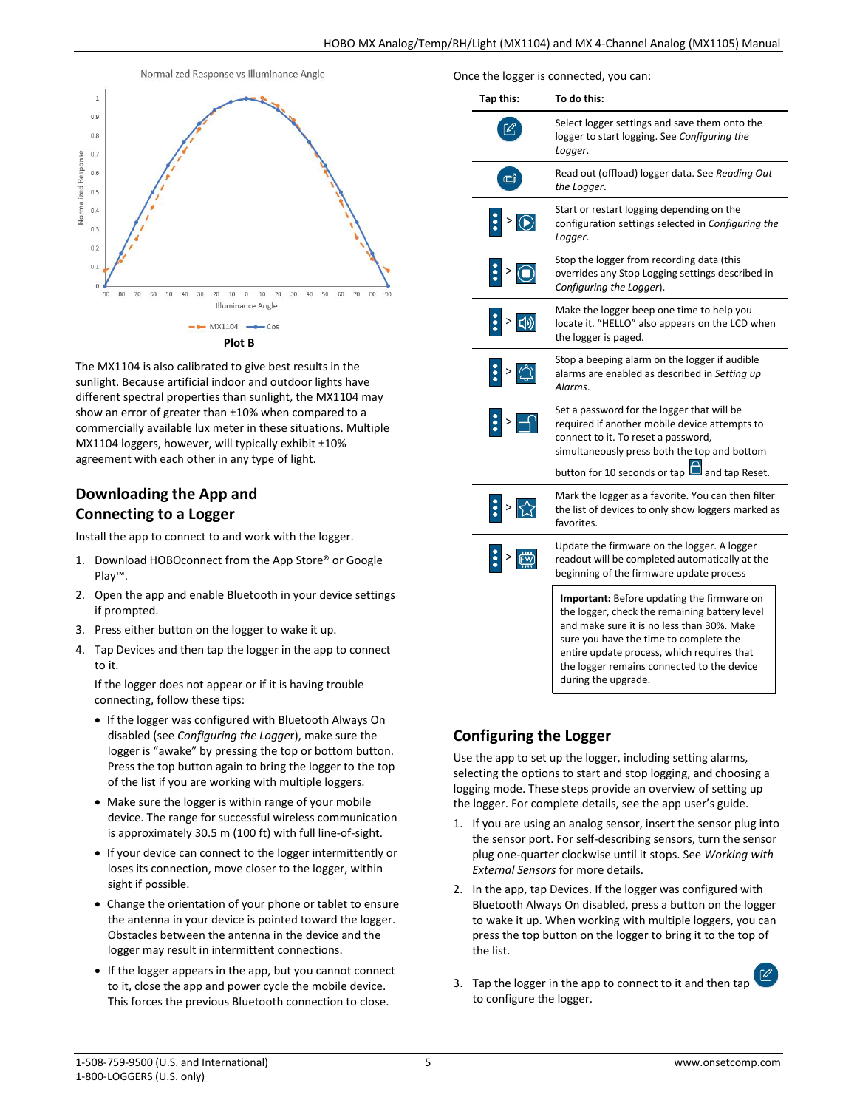

The MX1104 is also calibrated to give best results in the sunlight. Because artificial indoor and outdoor lights have different spectral properties than sunlight, the MX1104 may show an error of greater than ±10% when compared to a commercially available lux meter in these situations. Multiple MX1104 loggers, however, will typically exhibit ±10% agreement with each other in any type of light.

# **Downloading the App and Connecting to a Logger**

Install the app to connect to and work with the logger.

- 1. Download HOBOconnect from the App Store® or Google Play™.
- 2. Open the app and enable Bluetooth in your device settings if prompted.
- 3. Press either button on the logger to wake it up.
- 4. Tap Devices and then tap the logger in the app to connect to it.

If the logger does not appear or if it is having trouble connecting, follow these tips:

- If the logger was configured with Bluetooth Always On disabled (see *Configuring the Logge*r), make sure the logger is "awake" by pressing the top or bottom button. Press the top button again to bring the logger to the top of the list if you are working with multiple loggers.
- Make sure the logger is within range of your mobile device. The range for successful wireless communication is approximately 30.5 m (100 ft) with full line-of-sight.
- If your device can connect to the logger intermittently or loses its connection, move closer to the logger, within sight if possible.
- Change the orientation of your phone or tablet to ensure the antenna in your device is pointed toward the logger. Obstacles between the antenna in the device and the logger may result in intermittent connections.
- If the logger appears in the app, but you cannot connect to it, close the app and power cycle the mobile device. This forces the previous Bluetooth connection to close.

Once the logger is connected, you can:

| Tap this: | To do this:                                                                                                                                                                                                                                                                                            |
|-----------|--------------------------------------------------------------------------------------------------------------------------------------------------------------------------------------------------------------------------------------------------------------------------------------------------------|
|           | Select logger settings and save them onto the<br>logger to start logging. See Configuring the<br>Logger.                                                                                                                                                                                               |
| ☞         | Read out (offload) logger data. See Reading Out<br>the Logger.                                                                                                                                                                                                                                         |
|           | Start or restart logging depending on the<br>configuration settings selected in Configuring the<br>Logger.                                                                                                                                                                                             |
| $>$       | Stop the logger from recording data (this<br>overrides any Stop Logging settings described in<br>Configuring the Logger).                                                                                                                                                                              |
| 口り        | Make the logger beep one time to help you<br>locate it. "HELLO" also appears on the LCD when<br>the logger is paged.                                                                                                                                                                                   |
|           | Stop a beeping alarm on the logger if audible<br>alarms are enabled as described in Setting up<br>Alarms.                                                                                                                                                                                              |
|           | Set a password for the logger that will be<br>required if another mobile device attempts to<br>connect to it. To reset a password,<br>simultaneously press both the top and bottom                                                                                                                     |
|           | button for 10 seconds or tap<br>and tap Reset.                                                                                                                                                                                                                                                         |
|           | Mark the logger as a favorite. You can then filter<br>the list of devices to only show loggers marked as<br>favorites.                                                                                                                                                                                 |
|           | Update the firmware on the logger. A logger<br>readout will be completed automatically at the<br>beginning of the firmware update process                                                                                                                                                              |
|           | Important: Before updating the firmware on<br>the logger, check the remaining battery level<br>and make sure it is no less than 30%. Make<br>sure you have the time to complete the<br>entire update process, which requires that<br>the logger remains connected to the device<br>during the upgrade. |

# **Configuring the Logger**

Use the app to set up the logger, including setting alarms, selecting the options to start and stop logging, and choosing a logging mode. These steps provide an overview of setting up the logger. For complete details, see the app user's guide.

- 1. If you are using an analog sensor, insert the sensor plug into the sensor port. For self-describing sensors, turn the sensor plug one-quarter clockwise until it stops. See *Working with External Sensors* for more details.
- 2. In the app, tap Devices. If the logger was configured with Bluetooth Always On disabled, press a button on the logger to wake it up. When working with multiple loggers, you can press the top button on the logger to bring it to the top of the list.
- 3. Tap the logger in the app to connect to it and then tap to configure the logger.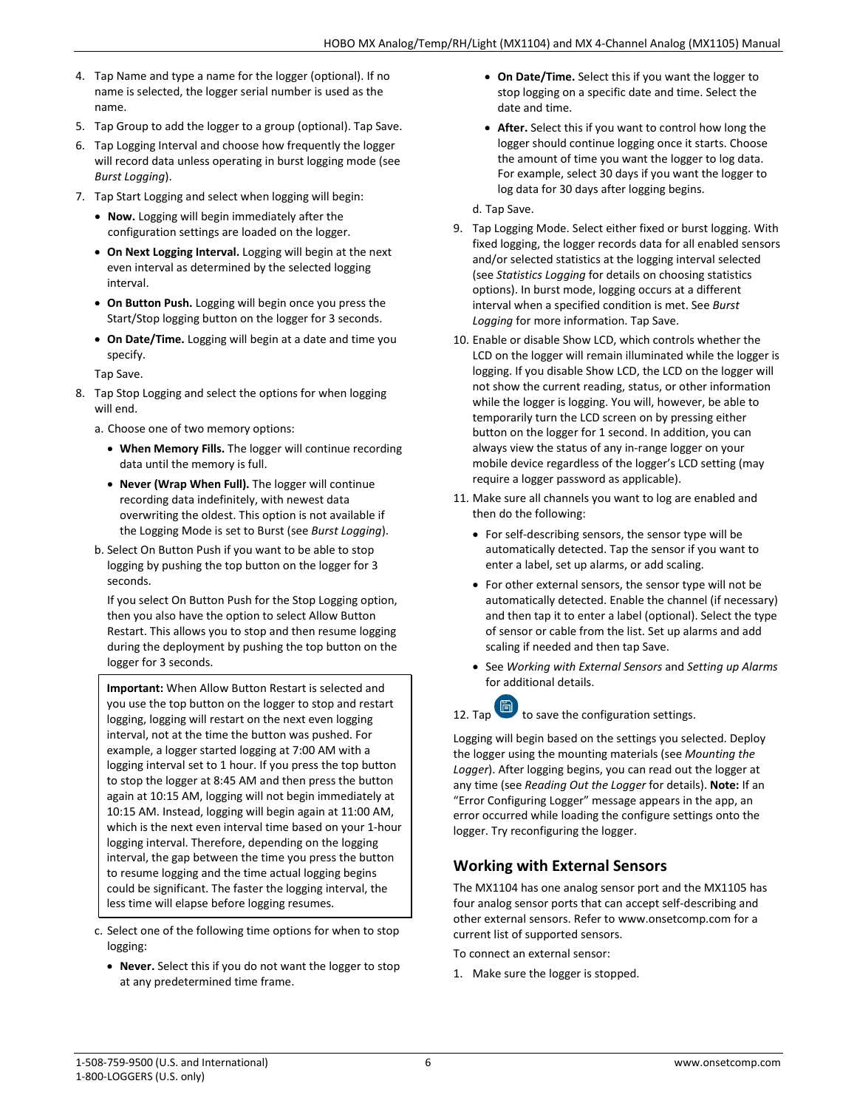- 4. Tap Name and type a name for the logger (optional). If no name is selected, the logger serial number is used as the name.
- 5. Tap Group to add the logger to a group (optional). Tap Save.
- 6. Tap Logging Interval and choose how frequently the logger will record data unless operating in burst logging mode (see *Burst Logging*).
- 7. Tap Start Logging and select when logging will begin:
	- **Now.** Logging will begin immediately after the configuration settings are loaded on the logger.
	- **On Next Logging Interval.** Logging will begin at the next even interval as determined by the selected logging interval.
	- **On Button Push.** Logging will begin once you press the Start/Stop logging button on the logger for 3 seconds.
	- **On Date/Time.** Logging will begin at a date and time you specify.

Tap Save.

- 8. Tap Stop Logging and select the options for when logging will end.
	- a. Choose one of two memory options:
		- **When Memory Fills.** The logger will continue recording data until the memory is full.
		- **Never (Wrap When Full).** The logger will continue recording data indefinitely, with newest data overwriting the oldest. This option is not available if the Logging Mode is set to Burst (see *Burst Logging*).
	- b. Select On Button Push if you want to be able to stop logging by pushing the top button on the logger for 3 seconds.

If you select On Button Push for the Stop Logging option, then you also have the option to select Allow Button Restart. This allows you to stop and then resume logging during the deployment by pushing the top button on the logger for 3 seconds.

**Important:** When Allow Button Restart is selected and you use the top button on the logger to stop and restart logging, logging will restart on the next even logging interval, not at the time the button was pushed. For example, a logger started logging at 7:00 AM with a logging interval set to 1 hour. If you press the top button to stop the logger at 8:45 AM and then press the button again at 10:15 AM, logging will not begin immediately at 10:15 AM. Instead, logging will begin again at 11:00 AM, which is the next even interval time based on your 1-hour logging interval. Therefore, depending on the logging interval, the gap between the time you press the button to resume logging and the time actual logging begins could be significant. The faster the logging interval, the less time will elapse before logging resumes.

- c. Select one of the following time options for when to stop logging:
	- **Never.** Select this if you do not want the logger to stop at any predetermined time frame.
- **On Date/Time.** Select this if you want the logger to stop logging on a specific date and time. Select the date and time.
- **After.** Select this if you want to control how long the logger should continue logging once it starts. Choose the amount of time you want the logger to log data. For example, select 30 days if you want the logger to log data for 30 days after logging begins.

d. Tap Save.

- 9. Tap Logging Mode. Select either fixed or burst logging. With fixed logging, the logger records data for all enabled sensors and/or selected statistics at the logging interval selected (see *Statistics Logging* for details on choosing statistics options). In burst mode, logging occurs at a different interval when a specified condition is met. See *Burst Logging* for more information. Tap Save.
- 10. Enable or disable Show LCD, which controls whether the LCD on the logger will remain illuminated while the logger is logging. If you disable Show LCD, the LCD on the logger will not show the current reading, status, or other information while the logger is logging. You will, however, be able to temporarily turn the LCD screen on by pressing either button on the logger for 1 second. In addition, you can always view the status of any in-range logger on your mobile device regardless of the logger's LCD setting (may require a logger password as applicable).
- 11. Make sure all channels you want to log are enabled and then do the following:
	- For self-describing sensors, the sensor type will be automatically detected. Tap the sensor if you want to enter a label, set up alarms, or add scaling.
	- For other external sensors, the sensor type will not be automatically detected. Enable the channel (if necessary) and then tap it to enter a label (optional). Select the type of sensor or cable from the list. Set up alarms and add scaling if needed and then tap Save.
	- See *Working with External Sensors* and *Setting up Alarms* for additional details.

# 12. Tap  $\Box$  to save the configuration settings.

Logging will begin based on the settings you selected. Deploy the logger using the mounting materials (see *Mounting the Logger*). After logging begins, you can read out the logger at any time (see *Reading Out the Logger* for details). **Note:** If an "Error Configuring Logger" message appears in the app, an error occurred while loading the configure settings onto the logger. Try reconfiguring the logger.

## **Working with External Sensors**

The MX1104 has one analog sensor port and the MX1105 has four analog sensor ports that can accept self-describing and other external sensors. Refer to www.onsetcomp.com for a current list of supported sensors.

To connect an external sensor:

1. Make sure the logger is stopped.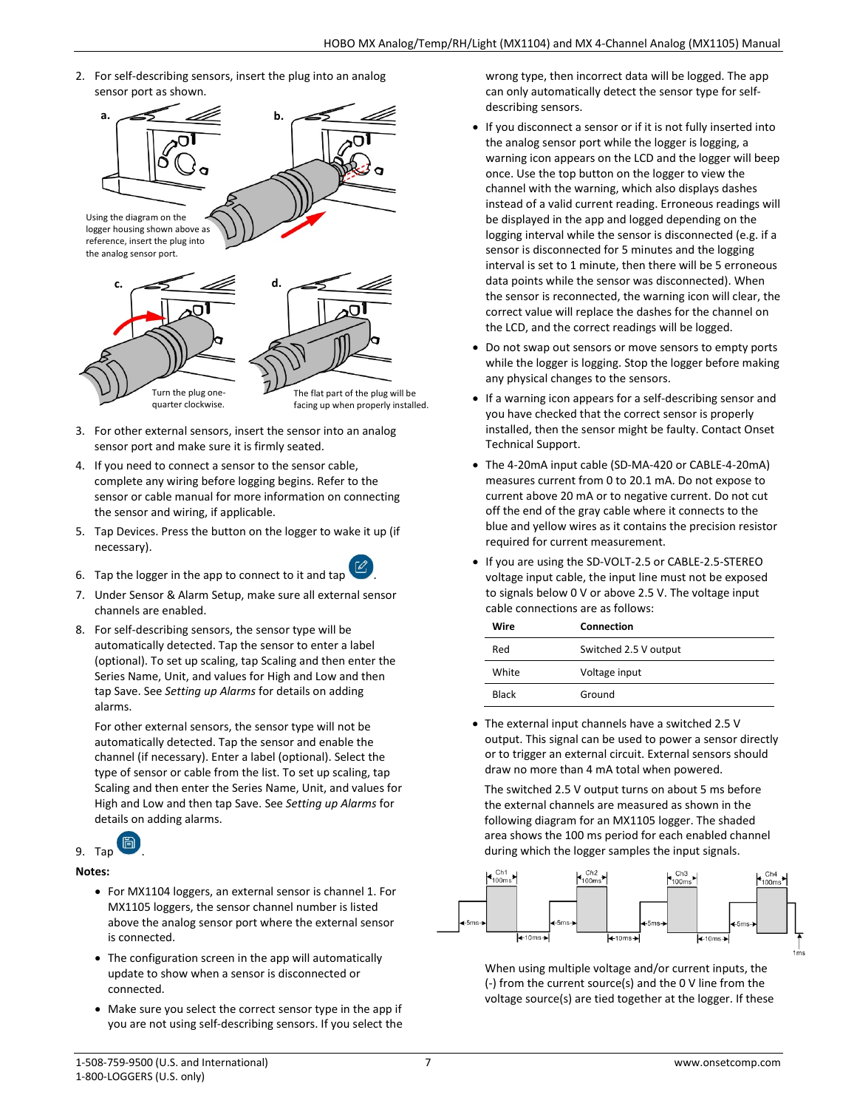2. For self-describing sensors, insert the plug into an analog sensor port as shown.



- 3. For other external sensors, insert the sensor into an analog sensor port and make sure it is firmly seated.
- 4. If you need to connect a sensor to the sensor cable, complete any wiring before logging begins. Refer to the sensor or cable manual for more information on connecting the sensor and wiring, if applicable.
- 5. Tap Devices. Press the button on the logger to wake it up (if necessary).
- 6. Tap the logger in the app to connect to it and tap
- 7. Under Sensor & Alarm Setup, make sure all external sensor channels are enabled.
- 8. For self-describing sensors, the sensor type will be automatically detected. Tap the sensor to enter a label (optional). To set up scaling, tap Scaling and then enter the Series Name, Unit, and values for High and Low and then tap Save. See *Setting up Alarms* for details on adding alarms.

For other external sensors, the sensor type will not be automatically detected. Tap the sensor and enable the channel (if necessary). Enter a label (optional). Select the type of sensor or cable from the list. To set up scaling, tap Scaling and then enter the Series Name, Unit, and values for High and Low and then tap Save. See *Setting up Alarms* for details on adding alarms.



#### **Notes:**

- For MX1104 loggers, an external sensor is channel 1. For MX1105 loggers, the sensor channel number is listed above the analog sensor port where the external sensor is connected.
- The configuration screen in the app will automatically update to show when a sensor is disconnected or connected.
- Make sure you select the correct sensor type in the app if you are not using self-describing sensors. If you select the

wrong type, then incorrect data will be logged. The app can only automatically detect the sensor type for selfdescribing sensors.

- If you disconnect a sensor or if it is not fully inserted into the analog sensor port while the logger is logging, a warning icon appears on the LCD and the logger will beep once. Use the top button on the logger to view the channel with the warning, which also displays dashes instead of a valid current reading. Erroneous readings will be displayed in the app and logged depending on the logging interval while the sensor is disconnected (e.g. if a sensor is disconnected for 5 minutes and the logging interval is set to 1 minute, then there will be 5 erroneous data points while the sensor was disconnected). When the sensor is reconnected, the warning icon will clear, the correct value will replace the dashes for the channel on the LCD, and the correct readings will be logged.
- Do not swap out sensors or move sensors to empty ports while the logger is logging. Stop the logger before making any physical changes to the sensors.
- If a warning icon appears for a self-describing sensor and you have checked that the correct sensor is properly installed, then the sensor might be faulty. Contact Onset Technical Support.
- The 4-20mA input cable (SD-MA-420 or CABLE-4-20mA) measures current from 0 to 20.1 mA. Do not expose to current above 20 mA or to negative current. Do not cut off the end of the gray cable where it connects to the blue and yellow wires as it contains the precision resistor required for current measurement.
- If you are using the SD-VOLT-2.5 or CABLE-2.5-STEREO voltage input cable, the input line must not be exposed to signals below 0 V or above 2.5 V. The voltage input cable connections are as follows:

| Wire  | Connection            |
|-------|-----------------------|
| Red   | Switched 2.5 V output |
| White | Voltage input         |
| Black | Ground                |

• The external input channels have a switched 2.5 V output. This signal can be used to power a sensor directly or to trigger an external circuit. External sensors should draw no more than 4 mA total when powered.

The switched 2.5 V output turns on about 5 ms before the external channels are measured as shown in the following diagram for an MX1105 logger. The shaded area shows the 100 ms period for each enabled channel during which the logger samples the input signals.



When using multiple voltage and/or current inputs, the (-) from the current source(s) and the 0 V line from the voltage source(s) are tied together at the logger. If these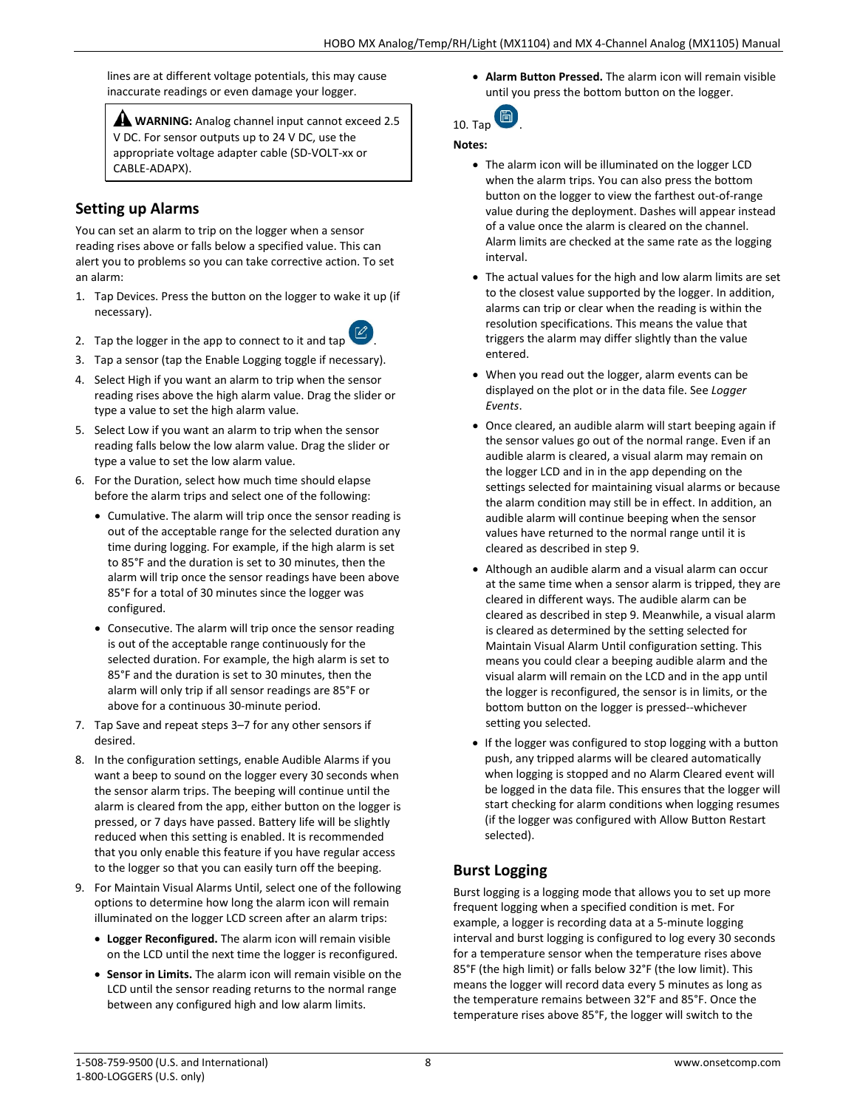lines are at different voltage potentials, this may cause inaccurate readings or even damage your logger.

**WARNING:** Analog channel input cannot exceed 2.5 V DC. For sensor outputs up to 24 V DC, use the appropriate voltage adapter cable (SD-VOLT-xx or CABLE-ADAPX).

## **Setting up Alarms**

You can set an alarm to trip on the logger when a sensor reading rises above or falls below a specified value. This can alert you to problems so you can take corrective action. To set an alarm:

1. Tap Devices. Press the button on the logger to wake it up (if necessary).



- 3. Tap a sensor (tap the Enable Logging toggle if necessary).
- 4. Select High if you want an alarm to trip when the sensor reading rises above the high alarm value. Drag the slider or type a value to set the high alarm value.
- 5. Select Low if you want an alarm to trip when the sensor reading falls below the low alarm value. Drag the slider or type a value to set the low alarm value.
- 6. For the Duration, select how much time should elapse before the alarm trips and select one of the following:
	- Cumulative. The alarm will trip once the sensor reading is out of the acceptable range for the selected duration any time during logging. For example, if the high alarm is set to 85°F and the duration is set to 30 minutes, then the alarm will trip once the sensor readings have been above 85°F for a total of 30 minutes since the logger was configured.
	- Consecutive. The alarm will trip once the sensor reading is out of the acceptable range continuously for the selected duration. For example, the high alarm is set to 85°F and the duration is set to 30 minutes, then the alarm will only trip if all sensor readings are 85°F or above for a continuous 30-minute period.
- 7. Tap Save and repeat steps 3–7 for any other sensors if desired.
- 8. In the configuration settings, enable Audible Alarms if you want a beep to sound on the logger every 30 seconds when the sensor alarm trips. The beeping will continue until the alarm is cleared from the app, either button on the logger is pressed, or 7 days have passed. Battery life will be slightly reduced when this setting is enabled. It is recommended that you only enable this feature if you have regular access to the logger so that you can easily turn off the beeping.
- 9. For Maintain Visual Alarms Until, select one of the following options to determine how long the alarm icon will remain illuminated on the logger LCD screen after an alarm trips:
	- **Logger Reconfigured.** The alarm icon will remain visible on the LCD until the next time the logger is reconfigured.
	- **Sensor in Limits.** The alarm icon will remain visible on the LCD until the sensor reading returns to the normal range between any configured high and low alarm limits.

• **Alarm Button Pressed.** The alarm icon will remain visible until you press the bottom button on the logger.



#### **Notes:**

- The alarm icon will be illuminated on the logger LCD when the alarm trips. You can also press the bottom button on the logger to view the farthest out-of-range value during the deployment. Dashes will appear instead of a value once the alarm is cleared on the channel. Alarm limits are checked at the same rate as the logging interval.
- The actual values for the high and low alarm limits are set to the closest value supported by the logger. In addition, alarms can trip or clear when the reading is within the resolution specifications. This means the value that triggers the alarm may differ slightly than the value entered.
- When you read out the logger, alarm events can be displayed on the plot or in the data file. See *Logger Events*.
- Once cleared, an audible alarm will start beeping again if the sensor values go out of the normal range. Even if an audible alarm is cleared, a visual alarm may remain on the logger LCD and in in the app depending on the settings selected for maintaining visual alarms or because the alarm condition may still be in effect. In addition, an audible alarm will continue beeping when the sensor values have returned to the normal range until it is cleared as described in step 9.
- Although an audible alarm and a visual alarm can occur at the same time when a sensor alarm is tripped, they are cleared in different ways. The audible alarm can be cleared as described in step 9. Meanwhile, a visual alarm is cleared as determined by the setting selected for Maintain Visual Alarm Until configuration setting. This means you could clear a beeping audible alarm and the visual alarm will remain on the LCD and in the app until the logger is reconfigured, the sensor is in limits, or the bottom button on the logger is pressed--whichever setting you selected.
- If the logger was configured to stop logging with a button push, any tripped alarms will be cleared automatically when logging is stopped and no Alarm Cleared event will be logged in the data file. This ensures that the logger will start checking for alarm conditions when logging resumes (if the logger was configured with Allow Button Restart selected).

## **Burst Logging**

Burst logging is a logging mode that allows you to set up more frequent logging when a specified condition is met. For example, a logger is recording data at a 5-minute logging interval and burst logging is configured to log every 30 seconds for a temperature sensor when the temperature rises above 85°F (the high limit) or falls below 32°F (the low limit). This means the logger will record data every 5 minutes as long as the temperature remains between 32°F and 85°F. Once the temperature rises above 85°F, the logger will switch to the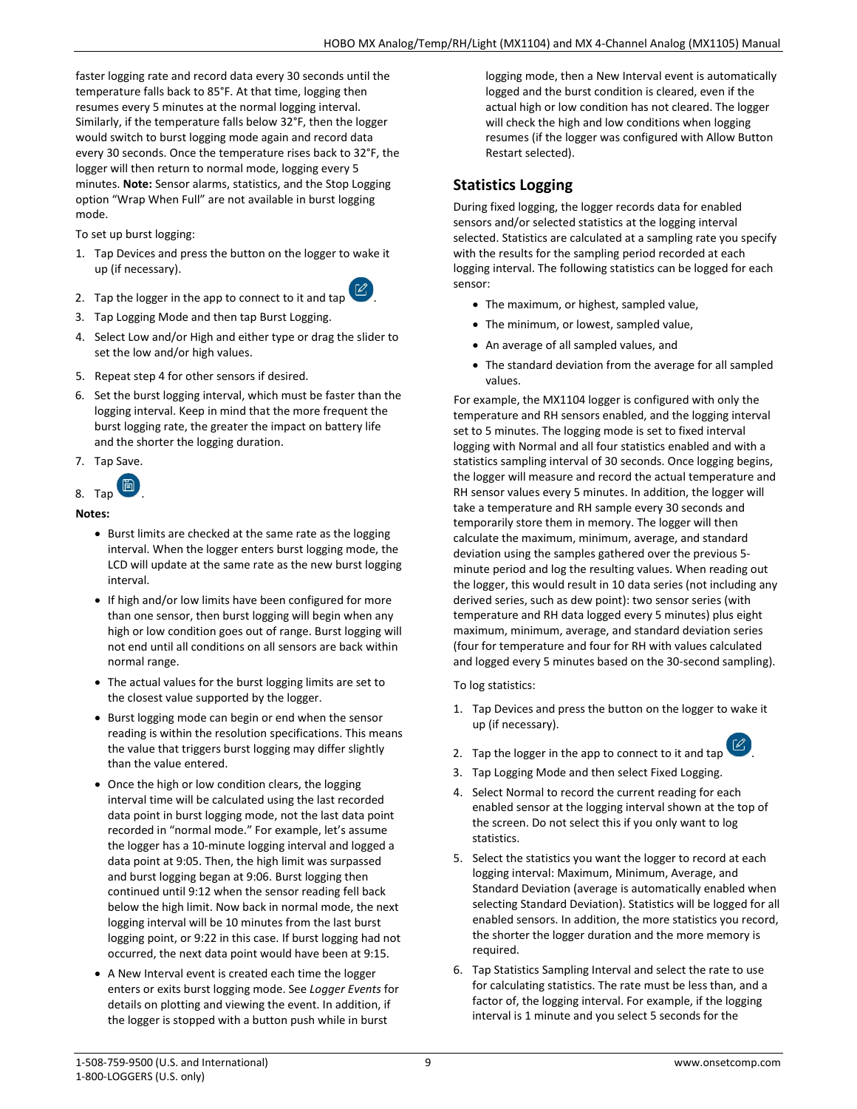faster logging rate and record data every 30 seconds until the temperature falls back to 85°F. At that time, logging then resumes every 5 minutes at the normal logging interval. Similarly, if the temperature falls below 32°F, then the logger would switch to burst logging mode again and record data every 30 seconds. Once the temperature rises back to 32°F, the logger will then return to normal mode, logging every 5 minutes. **Note:** Sensor alarms, statistics, and the Stop Logging option "Wrap When Full" are not available in burst logging mode.

To set up burst logging:

1. Tap Devices and press the button on the logger to wake it up (if necessary).



- 2. Tap the logger in the app to connect to it and tap
- 3. Tap Logging Mode and then tap Burst Logging.
- 4. Select Low and/or High and either type or drag the slider to set the low and/or high values.
- 5. Repeat step 4 for other sensors if desired.
- 6. Set the burst logging interval, which must be faster than the logging interval. Keep in mind that the more frequent the burst logging rate, the greater the impact on battery life and the shorter the logging duration.
- 7. Tap Save.

$$
8. \text{ Tap} \quad \boxed{2}
$$

### **Notes:**

- Burst limits are checked at the same rate as the logging interval. When the logger enters burst logging mode, the LCD will update at the same rate as the new burst logging interval.
- If high and/or low limits have been configured for more than one sensor, then burst logging will begin when any high or low condition goes out of range. Burst logging will not end until all conditions on all sensors are back within normal range.
- The actual values for the burst logging limits are set to the closest value supported by the logger.
- Burst logging mode can begin or end when the sensor reading is within the resolution specifications. This means the value that triggers burst logging may differ slightly than the value entered.
- Once the high or low condition clears, the logging interval time will be calculated using the last recorded data point in burst logging mode, not the last data point recorded in "normal mode." For example, let's assume the logger has a 10-minute logging interval and logged a data point at 9:05. Then, the high limit was surpassed and burst logging began at 9:06. Burst logging then continued until 9:12 when the sensor reading fell back below the high limit. Now back in normal mode, the next logging interval will be 10 minutes from the last burst logging point, or 9:22 in this case. If burst logging had not occurred, the next data point would have been at 9:15.
- A New Interval event is created each time the logger enters or exits burst logging mode. See *Logger Events* for details on plotting and viewing the event. In addition, if the logger is stopped with a button push while in burst

logging mode, then a New Interval event is automatically logged and the burst condition is cleared, even if the actual high or low condition has not cleared. The logger will check the high and low conditions when logging resumes (if the logger was configured with Allow Button Restart selected).

## **Statistics Logging**

During fixed logging, the logger records data for enabled sensors and/or selected statistics at the logging interval selected. Statistics are calculated at a sampling rate you specify with the results for the sampling period recorded at each logging interval. The following statistics can be logged for each sensor:

- The maximum, or highest, sampled value,
- The minimum, or lowest, sampled value,
- An average of all sampled values, and
- The standard deviation from the average for all sampled values.

For example, the MX1104 logger is configured with only the temperature and RH sensors enabled, and the logging interval set to 5 minutes. The logging mode is set to fixed interval logging with Normal and all four statistics enabled and with a statistics sampling interval of 30 seconds. Once logging begins, the logger will measure and record the actual temperature and RH sensor values every 5 minutes. In addition, the logger will take a temperature and RH sample every 30 seconds and temporarily store them in memory. The logger will then calculate the maximum, minimum, average, and standard deviation using the samples gathered over the previous 5 minute period and log the resulting values. When reading out the logger, this would result in 10 data series (not including any derived series, such as dew point): two sensor series (with temperature and RH data logged every 5 minutes) plus eight maximum, minimum, average, and standard deviation series (four for temperature and four for RH with values calculated and logged every 5 minutes based on the 30-second sampling).

To log statistics:

1. Tap Devices and press the button on the logger to wake it up (if necessary).



- 2. Tap the logger in the app to connect to it and tap
- 3. Tap Logging Mode and then select Fixed Logging.
- 4. Select Normal to record the current reading for each enabled sensor at the logging interval shown at the top of the screen. Do not select this if you only want to log statistics.
- 5. Select the statistics you want the logger to record at each logging interval: Maximum, Minimum, Average, and Standard Deviation (average is automatically enabled when selecting Standard Deviation). Statistics will be logged for all enabled sensors. In addition, the more statistics you record, the shorter the logger duration and the more memory is required.
- 6. Tap Statistics Sampling Interval and select the rate to use for calculating statistics. The rate must be less than, and a factor of, the logging interval. For example, if the logging interval is 1 minute and you select 5 seconds for the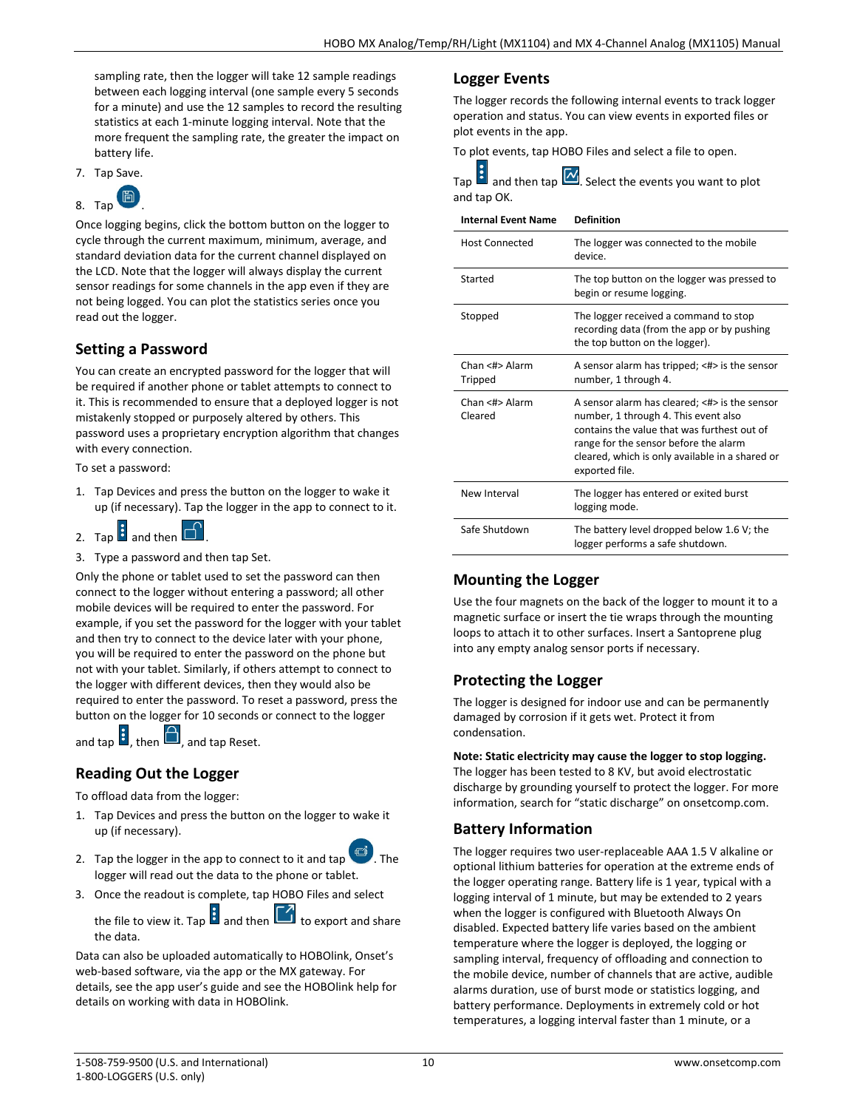sampling rate, then the logger will take 12 sample readings between each logging interval (one sample every 5 seconds for a minute) and use the 12 samples to record the resulting statistics at each 1-minute logging interval. Note that the more frequent the sampling rate, the greater the impact on battery life.

7. Tap Save.



Once logging begins, click the bottom button on the logger to cycle through the current maximum, minimum, average, and standard deviation data for the current channel displayed on the LCD. Note that the logger will always display the current sensor readings for some channels in the app even if they are not being logged. You can plot the statistics series once you read out the logger.

## **Setting a Password**

You can create an encrypted password for the logger that will be required if another phone or tablet attempts to connect to it. This is recommended to ensure that a deployed logger is not mistakenly stopped or purposely altered by others. This password uses a proprietary encryption algorithm that changes with every connection.

To set a password:

- 1. Tap Devices and press the button on the logger to wake it up (if necessary). Tap the logger in the app to connect to it.
- 2. Tap  $\mathbf{B}$  and then  $\mathbf{B}$
- 3. Type a password and then tap Set.

Only the phone or tablet used to set the password can then connect to the logger without entering a password; all other mobile devices will be required to enter the password. For example, if you set the password for the logger with your tablet and then try to connect to the device later with your phone, you will be required to enter the password on the phone but not with your tablet. Similarly, if others attempt to connect to the logger with different devices, then they would also be required to enter the password. To reset a password, press the button on the logger for 10 seconds or connect to the logger

and tap  $\mathbf{G}$ , then  $\mathbf{G}$ , and tap Reset.

## **Reading Out the Logger**

To offload data from the logger:

- 1. Tap Devices and press the button on the logger to wake it up (if necessary).
- 2. Tap the logger in the app to connect to it and tap logger will read out the data to the phone or tablet.
- 3. Once the readout is complete, tap HOBO Files and select
	- the file to view it. Tap  $\frac{1}{2}$  and then  $\boxed{1}$  to export and share the data.

Data can also be uploaded automatically to HOBOlink, Onset's web-based software, via the app or the MX gateway. For details, see the app user's guide and see the HOBOlink help for details on working with data in HOBOlink.

## **Logger Events**

The logger records the following internal events to track logger operation and status. You can view events in exported files or plot events in the app.

To plot events, tap HOBO Files and select a file to open.

and then tap  $\boxed{\sim}$ . Select the events you want to plot and tap OK.

**Internal Event Name Definition**

| <b>Host Connected</b>     | The logger was connected to the mobile<br>device.                                                                                                                                                                                                  |
|---------------------------|----------------------------------------------------------------------------------------------------------------------------------------------------------------------------------------------------------------------------------------------------|
| Started                   | The top button on the logger was pressed to<br>begin or resume logging.                                                                                                                                                                            |
| Stopped                   | The logger received a command to stop<br>recording data (from the app or by pushing<br>the top button on the logger).                                                                                                                              |
| Chan <#> Alarm<br>Tripped | A sensor alarm has tripped; $\lt\#$ is the sensor<br>number, 1 through 4.                                                                                                                                                                          |
| Chan <#> Alarm<br>Cleared | A sensor alarm has cleared; <#> is the sensor<br>number, 1 through 4. This event also<br>contains the value that was furthest out of<br>range for the sensor before the alarm<br>cleared, which is only available in a shared or<br>exported file. |
| New Interval              | The logger has entered or exited burst<br>logging mode.                                                                                                                                                                                            |
| Safe Shutdown             | The battery level dropped below 1.6 V; the<br>logger performs a safe shutdown.                                                                                                                                                                     |

## **Mounting the Logger**

Use the four magnets on the back of the logger to mount it to a magnetic surface or insert the tie wraps through the mounting loops to attach it to other surfaces. Insert a Santoprene plug into any empty analog sensor ports if necessary.

## **Protecting the Logger**

The logger is designed for indoor use and can be permanently damaged by corrosion if it gets wet. Protect it from condensation.

#### **Note: Static electricity may cause the logger to stop logging.**

The logger has been tested to 8 KV, but avoid electrostatic discharge by grounding yourself to protect the logger. For more information, search for "static discharge" on onsetcomp.com.

## **Battery Information**

The logger requires two user-replaceable AAA 1.5 V alkaline or optional lithium batteries for operation at the extreme ends of the logger operating range. Battery life is 1 year, typical with a logging interval of 1 minute, but may be extended to 2 years when the logger is configured with Bluetooth Always On disabled. Expected battery life varies based on the ambient temperature where the logger is deployed, the logging or sampling interval, frequency of offloading and connection to the mobile device, number of channels that are active, audible alarms duration, use of burst mode or statistics logging, and battery performance. Deployments in extremely cold or hot temperatures, a logging interval faster than 1 minute, or a